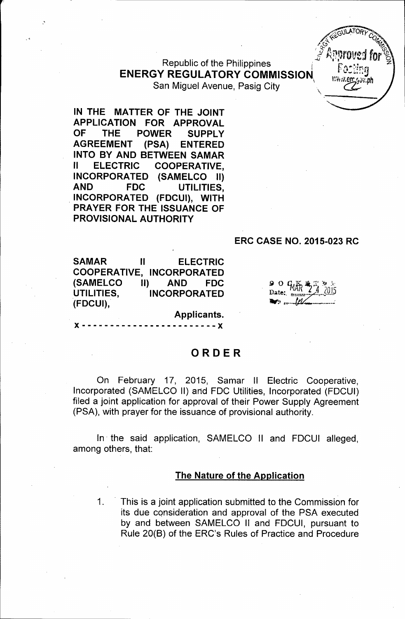Republic of the Philippines **ENERGY REGULATORY COMMISSION.** San Miguel Avenue, Pasig City \ *m~;,~v'Ph*

**IN THE MATTER OF THE JOINT APPLICATION FOR APPROVAL OF THE POWER SUPPLY AGREEMENT (PSA) ENTERED INTO BY AND BETWEEN SAMAR II ELECTRIC COOPERATIVE, INCORPORATED (SAMELCO II)**

#### **ERC CASE NO. 2015-023 RC**

**SAMAR II ELECTRIC COOPERATIVE, INCORPORATED (SAMELCO II) AND FDC UTILITIES, INCORPORATED (FDCUI),**

**AND FDC UTILITIES, . INCORPORATED (FDCUI), WITH PRAYER FOR THE ISSUANCE OF**

**PROVISIONAL AUTHORITY**

**Applicants.**  $- - - - X$ 

### **ORDER**

On February 17, 2015, Samar II Electric Cooperative, Incorporated (SAMELCO II) and FOC Utilities, Incorporated (FOCUI) filed a joint application for approval of their Power Supply Agreement (PSA), with prayer for the issuance of provisional authority.

In' the said application, SAMELCO II and FOCUI alleged, among others, that:

#### **The Nature of the Application**

1. . This is a joint application submitted to the Commission for its due consideration and approval of the PSA executed by and between SAMELCO II and FOCUI, pursuant to Rule 20(B) of the ERC's Rules of Practice and Procedure

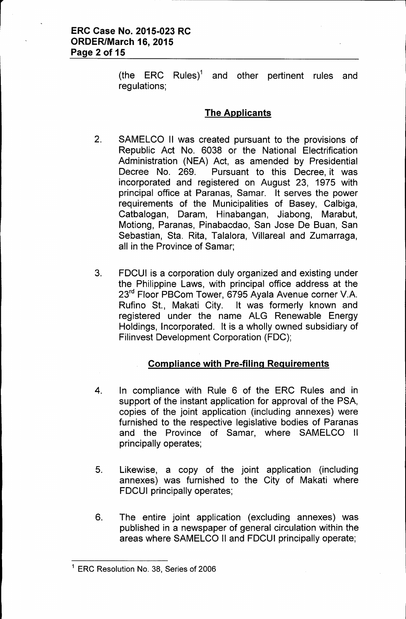(the ERC Rules)<sup>1</sup> and other pertinent rules and regulations;

## The Applicants

- 2. SAMELCO II was created pursuant to the provisions of Republic Act No. 6038 or the National Electrification Administration (NEA) Act, as amended by Presidential Decree No. 269. Pursuant to this Decree, it was incorporated and registered on August 23, 1975 with principal office at Paranas, Samar. It serves the power requirements of the Municipalities of Basey, Calbiga, Catbalogan, Daram, Hinabangan, Jiabong, Marabut, Motiong, Paranas, Pinabacdao, San Jose De Buan, San Sebastian, Sta. Rita, Talalora, Villareal and Zumarraga, all in the Province of Samar;
- 3. FDCUI is a corporation duly organized and existing under the Philippine Laws, with principal office address at the 23<sup>rd</sup> Floor PBCom Tower, 6795 Ayala Avenue corner V.A. Rufino St., Makati City. It was formerly known and registered under the name ALG Renewable Energy Holdings, Incorporated. It is a wholly owned subsidiary of Filinvest Development Corporation (FDC);

# Compliance with Pre-filing Requirements

- 4. In compliance with Rule 6 of the ERC Rules and in support of the instant application for approval of the PSA, copies of the joint application (including annexes) were furnished to the respective legislative bodies of Paranas and the Province of Samar, where SAMELCO II principally operates;
- 5. Likewise, a copy of the joint application (including annexes) was furnished to the City of Makati where FDCUI principally operates;
- 6. The entire joint application (excluding annexes) was published in a newspaper of general circulation within the areas where SAMELCO II and FDCUI principally operate;

<sup>&</sup>lt;sup>1</sup> ERC Resolution No. 38, Series of 2006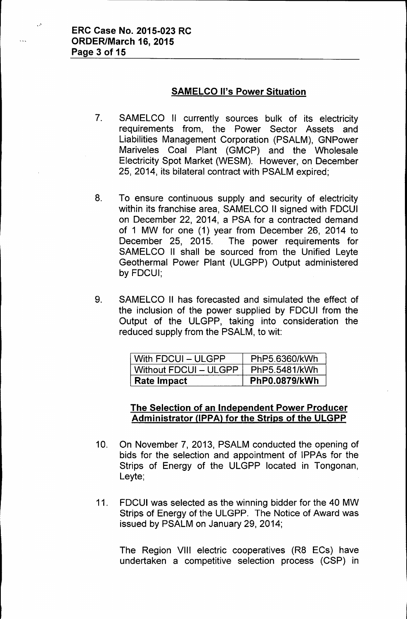### SAMELCO II's Power Situation

- 7. SAMELCO II currently sources bulk of its electricity requirements from, the Power Sector Assets and Liabilities Management Corporation (PSALM), GNPower Mariveles Coal Plant (GMCP) and the Wholesale Electricity Spot Market (WESM). However, on December 25, 2014, its bilateral contract with PSALM expired;
- 8. To ensure continuous supply and security of electricity within its franchise area, SAMELCO II signed with FDCUI on December 22, 2014, a PSA for a contracted demand of 1 MW for one (1) year from December 26, 2014 to December 25, 2015. The power requirements for SAMELCO II shall be sourced from the Unified Leyte Geothermal Power Plant (ULGPP) Output administered by FDCUI;
- 9. SAMELCO II has forecasted and simulated the effect of the inclusion of the power supplied by FDCUI from the Output of the ULGPP, taking into consideration the reduced supply from the PSALM, to wit:

| With FDCUI – ULGPP    | PhP5.6360/kWh        |
|-----------------------|----------------------|
| Without FDCUI - ULGPP | PhP5.5481/kWh        |
| ⊦ Rate Impact         | <b>PhP0.0879/kWh</b> |

### The Selection of an Independent Power Producer Administrator (IPPA) for the Strips of the ULGPP

- 10. On November 7, 2013, PSALM conducted the opening of bids for the selection and appointment of IPPAs for the Strips of Energy of the ULGPP located in Tongonan, Leyte;
- 11. FDCUI was selected as the winning bidder for the 40 MW Strips of Energy of the ULGPP. The Notice of Award was issued by PSALM on January 29,2014;

The Region VIII electric cooperatives (R8 ECs) have undertaken a competitive selection process (CSP) in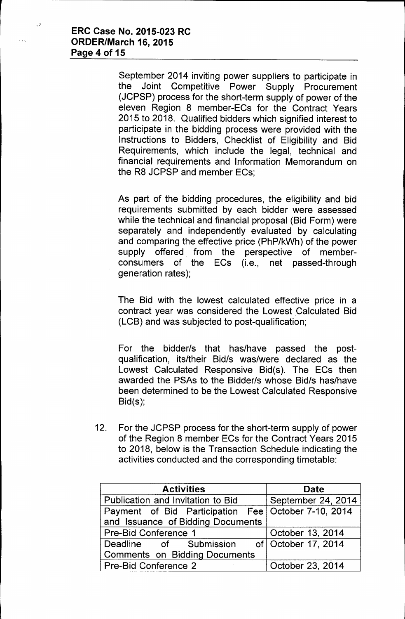$\ddot{\cdot}$ 

September 2014 inviting power suppliers to participate in the Joint Competitive Power Supply Procurement (JCPSP) process for the short-term supply of power of the eleven Region 8 member-ECs for the Contract Years 2015 to 2018. Qualified bidders which signified interest to participate in the bidding process were provided with the Instructions to Bidders, Checklist of Eligibility and Bid Requirements, which include the legal, technical and financial requirements and Information Memorandum on the R8 JCPSP and member ECs;

As part of the bidding procedures, the eligibility and bid requirements submitted by each bidder were assessed while the technical and financial proposal (Bid Form) were separately and independently evaluated by calculating and comparing the effective price (PhP/kWh) of the power supply offered from the perspective of memberconsumers of the ECs (i.e., net passed-through generation rates);

The Bid with the lowest calculated effective price in a contract year was considered the Lowest Calculated Bid (LCB) and was subjected to post-qualification;

For the bidder/s that has/have passed the postqualification, its/their Bid/s was/were declared as the Lowest Calculated Responsive Bid(s). The ECs then awarded the PSAs to the Bidder/s whose Bid/s has/have been determined to be the Lowest Calculated Responsive Bid(s);

12. For the JCPSP process for the short-term supply of power of the Region 8 member ECs for the Contract Years 2015 to 2018, below is the Transaction Schedule indicating the activities conducted and the corresponding timetable:

| <b>Activities</b>                                   | <b>Date</b>        |
|-----------------------------------------------------|--------------------|
| Publication and Invitation to Bid                   | September 24, 2014 |
| Payment of Bid Participation Fee October 7-10, 2014 |                    |
| and Issuance of Bidding Documents                   |                    |
| Pre-Bid Conference 1                                | October 13, 2014   |
| Deadline of Submission of October 17, 2014          |                    |
| <b>Comments on Bidding Documents</b>                |                    |
| <b>Pre-Bid Conference 2</b>                         | October 23, 2014   |

j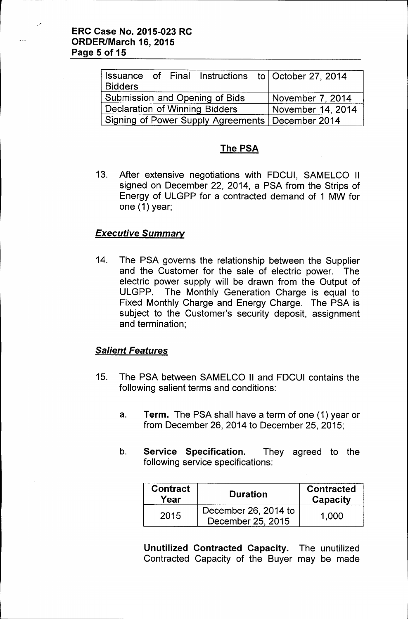$\ddot{\cdot}$ 

| <b>Bidders</b>                        |  |                                | Issuance of Final Instructions to October 27, 2014 |
|---------------------------------------|--|--------------------------------|----------------------------------------------------|
|                                       |  | Submission and Opening of Bids | November 7, 2014                                   |
| <b>Declaration of Winning Bidders</b> |  |                                | November 14, 2014                                  |
|                                       |  |                                | Signing of Power Supply Agreements   December 2014 |

## The PSA

13. After extensive negotiations with FDCUI, SAMELCO II signed on December 22, 2014, a PSA from the Strips of Energy of ULGPP for a contracted demand of 1 MW for one (1) year;

### *Executive Summary*

14. The PSA governs the relationship between the Supplier and the Customer for the sale of electric power. The electric power supply will be drawn from the Output of ULGPP. The Monthly Generation Charge is equal to Fixed Monthly Charge and Energy Charge. The PSA is subject to the Customer's security deposit, assignment and termination;

### *Salient Features*

- 15. The PSA between SAMELCO II and FDCUI contains the following salient terms and conditions:
	- a. Term. The PSA shall have a term of one (1) year or from December 26, 2014 to December 25, 2015;
	- b. Service Specification. They agreed to the following service specifications:

| <b>Contract</b><br>Year | <b>Duration</b>                           | <b>Contracted</b><br>Capacity |
|-------------------------|-------------------------------------------|-------------------------------|
| 2015                    | December 26, 2014 to<br>December 25, 2015 | 1.000                         |

Unutilized Contracted Capacity. The unutilized Contracted Capacity of the Buyer may be made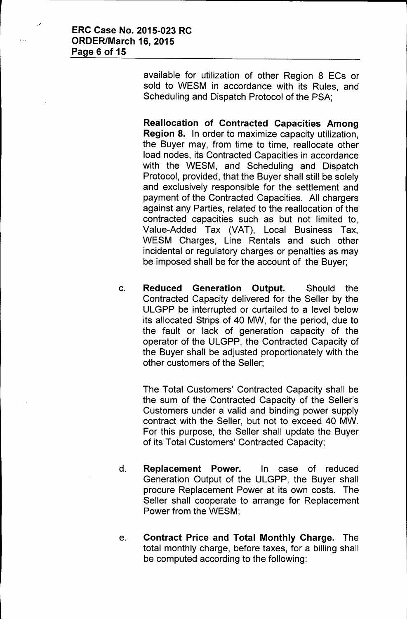- 18

available for utilization of other Region 8 ECs or sold to WESM in accordance with its Rules, and Scheduling and Dispatch Protocol of the PSA;

Reallocation of Contracted Capacities Among Region 8. In order to maximize capacity utilization, the Buyer may, from time to time, reallocate other load nodes, its Contracted Capacities in accordance with the WESM, and Scheduling and Dispatch Protocol, provided, that the Buyer shall still be solely and exclusively responsible for the settlement and payment of the Contracted Capacities. All chargers against any Parties, related to the reallocation of the contracted capacities such as but not limited to, Value-Added Tax (VAT), Local Business Tax, WESM Charges, Line Rentals and such other incidental or regulatory charges or penalties as may be imposed shall be for the account of the Buyer;

c. Reduced Generation Output. Should the Contracted Capacity delivered for the Seller by the ULGPP be interrupted or curtailed to a level below its allocated Strips of 40 MW, for the period, due to the fault or lack of generation capacity of the operator of the ULGPP, the Contracted Capacity of the Buyer shall be adjusted proportionately with the other customers of the Seller;

The Total Customers' Contracted Capacity shall be the sum of the Contracted Capacity of the Seller's Customers under a valid and binding power supply contract with the Seller, but not to exceed 40 MW. For this purpose, the Seller shall update the Buyer of its Total Customers' Contracted Capacity;

- d. Replacement Power. In case of reduced Generation Output of the ULGPP, the Buyer shall procure Replacement Power at its own costs. The Seller shall cooperate to arrange for Replacement Power from the WESM;
- e. Contract Price and Total Monthly Charge. The total monthly charge, before taxes, for a billing shall be computed according to the following: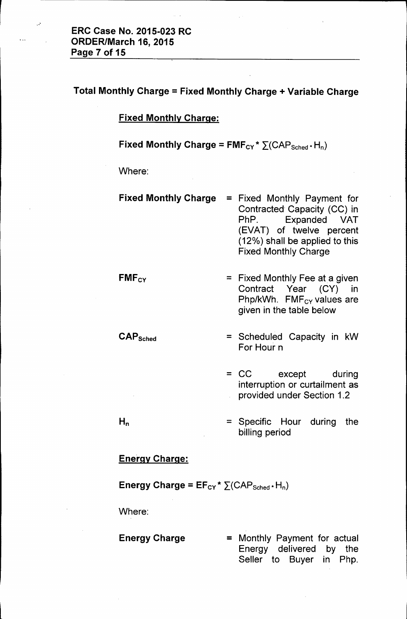$\mathbb{R}^2$ 

## Total Monthly Charge = Fixed Monthly Charge + Variable Charge

### Fixed Monthly Charge:

# Fixed Monthly Charge =  $FMF_{CY}$ \*  $\Sigma(CAP_{Sched} \cdot H_n)$

Where:

- Fixed Monthly Charge = Fixed Monthly Payment for Contracted Capacity (CC) in PhP. Expanded VAT (EVAT) of twelve percent (12%) shall be applied to this Fixed Monthly Charge
- $FMF_{CY}$  = Fixed Monthly Fee at a given Contract Year (CY) in Php/kWh. FMF<sub>cy</sub> values are given in the table below
- $\text{CAP}_{\text{Sched}}$  = Scheduled Capacity in kW For Hour n
	- = CC except during interruption or curtailment as provided under Section 1.2

Seller to Buyer in Php.

= Specific Hour during the billing period

#### Energy Charge:

#### Energy Charge =  $EF_{CY}$  \*  $\Sigma(CAP_{Sched}$  + H<sub>n</sub>)

Where:

 $H_n$ 

## Energy Charge = Monthly Payment for actual Energy delivered by the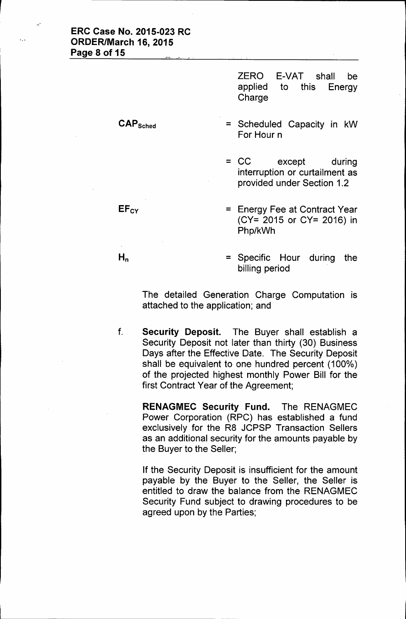| <b>ERC Case No. 2015-023 RC</b><br>ORDER/March 16, 2015<br>Page 8 of 15<br>$\mathcal{L}(\mathcal{P}_{\mathcal{L},\mathcal{L}})$ and $\mathcal{L}(\mathcal{P}_{\mathcal{L},\mathcal{L}})$ |                                                      |    |
|------------------------------------------------------------------------------------------------------------------------------------------------------------------------------------------|------------------------------------------------------|----|
|                                                                                                                                                                                          | ZERO E-VAT shall<br>applied to this Energy<br>Charge | be |

CAPSched

**EFcy** 

 $H_n$ 

= Scheduled Capacity in kW For Hour n

= CC except during interruption or curtailment as provided under Section 1.2

= Energy Fee at Contract Year (CY= 2015 or CY= 2016) in Php/kWh

= Specific Hour during the billing period

The detailed Generation Charge Computation is attached to the application; and

f. Security Deposit. The Buyer shall establish a Security Deposit not later than thirty (30) Business Days after the Effective Date. The Security Deposit shall be equivalent to one hundred percent (100%) of the projected highest monthly Power Bill for the first Contract Year of the Agreement;

RENAGMEC Security Fund. The RENAGMEC Power Corporation (RPC) has established a fund exclusively for the R8 JCPSP Transaction Sellers as an additional security for the amounts payable by the Buyer to the Seller;

If the Security Deposit is insufficient for the amount payable by the Buyer to the Seller, the Seller is entitled to draw the balance from the RENAGMEC Security Fund subject to drawing procedures to be agreed upon by the Parties;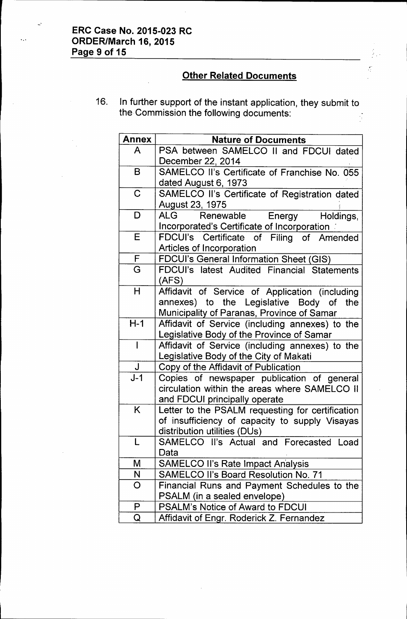L.

# Other Related Documents

 $\frac{1}{2}$ 

16. In further support of the instant application, they submit to the Commission the following documents:  $\frac{1}{\sqrt{2}}$ 

| <b>Annex</b> | <b>Nature of Documents</b>                                                                                                              |
|--------------|-----------------------------------------------------------------------------------------------------------------------------------------|
| A            | PSA between SAMELCO II and FDCUI dated<br>December 22, 2014                                                                             |
| B            | SAMELCO II's Certificate of Franchise No. 055<br>dated August 6, 1973                                                                   |
| $\mathsf C$  | SAMELCO II's Certificate of Registration dated                                                                                          |
| D            | August 23, 1975<br><b>ALG</b><br>Renewable<br>Energy<br>Holdings,<br>Incorporated's Certificate of Incorporation                        |
| E            | FDCUI's Certificate of Filing of Amended<br>Articles of Incorporation                                                                   |
| F            | <b>FDCUI's General Information Sheet (GIS)</b>                                                                                          |
| G            | FDCUI's latest Audited Financial Statements<br>(AFS)                                                                                    |
| H            | Affidavit of Service of Application (including<br>annexes) to the Legislative Body of the<br>Municipality of Paranas, Province of Samar |
| $H-1$        | Affidavit of Service (including annexes) to the<br>Legislative Body of the Province of Samar                                            |
| $\mathsf{I}$ | Affidavit of Service (including annexes) to the<br>Legislative Body of the City of Makati                                               |
| J            | Copy of the Affidavit of Publication                                                                                                    |
| $J-1$        | Copies of newspaper publication of general<br>circulation within the areas where SAMELCO II<br>and FDCUI principally operate            |
| K            | Letter to the PSALM requesting for certification<br>of insufficiency of capacity to supply Visayas<br>distribution utilities (DUs)      |
| L            | SAMELCO II's Actual and Forecasted Load<br>Data                                                                                         |
| M            | <b>SAMELCO II's Rate Impact Analysis</b>                                                                                                |
| N            | <b>SAMELCO II's Board Resolution No. 71</b>                                                                                             |
| O            | Financial Runs and Payment Schedules to the<br>PSALM (in a sealed envelope)                                                             |
| P            | <b>PSALM's Notice of Award to FDCUI</b>                                                                                                 |
| Q            | Affidavit of Engr. Roderick Z. Fernandez                                                                                                |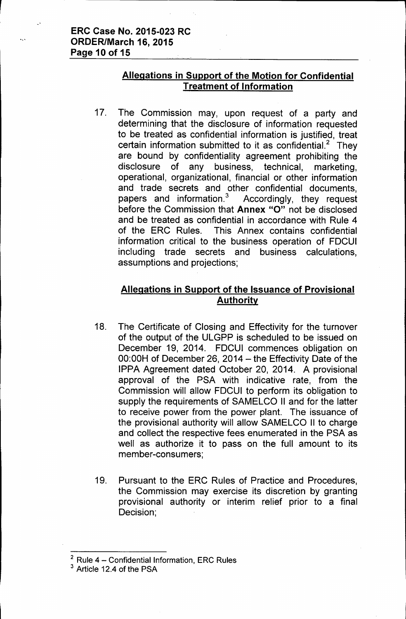#### **ERC Case No. 2015-023 RC ORDER/March 16, 2015 Page 10 of 15**

### **Allegations in Support of the Motion for Confidential Treatment of Information**

17. The Commission may, upon request of a party and determining that the disclosure of information requested to be treated as confidential information is justified, treat certain information submitted to it as confidential.<sup>2</sup> They are bound by confidentiality agreement prohibiting the disclosure of any business, technical, marketing, operational, organizational, financial or other information and trade secrets and other confidential documents, papers and information.<sup>3</sup> Accordingly, they request before the Commission that **Annex** "0" not be disclosed and be treated as confidential in accordance with Rule 4 of the ERC Rules. This Annex contains confidential information critical to the business operation of FDCUI including trade secrets and business calculations, assumptions and projections;

## **Allegations in Support of the Issuance of Provisional Authority**

- 18. The Certificate of Closing and Effectivity for the turnover of the output of the ULGPP is scheduled to be issued on December 19, 2014. FDCUI commences obligation on  $00:00H$  of December 26, 2014 - the Effectivity Date of the IPPA Agreement dated October 20, 2014. A provisional approval of the PSA with indicative rate, from the Commission will allow FDCUI to perform its obligation to supply the requirements of SAMELCO II and for the latter to receive power from the power plant. The issuance of the provisional authority will allow SAMELCO II to charge and collect the respective fees enumerated in the PSA as well as authorize it to pass on the full amount to its member-consumers;
- 19. Pursuant to the ERC Rules of Practice and Procedures, the Commission may exercise its discretion by granting provisional authority or interim relief prior to a final Decision;

 $2$  Rule 4 - Confidential Information, ERC Rules

<sup>&</sup>lt;sup>3</sup> Article 12.4 of the PSA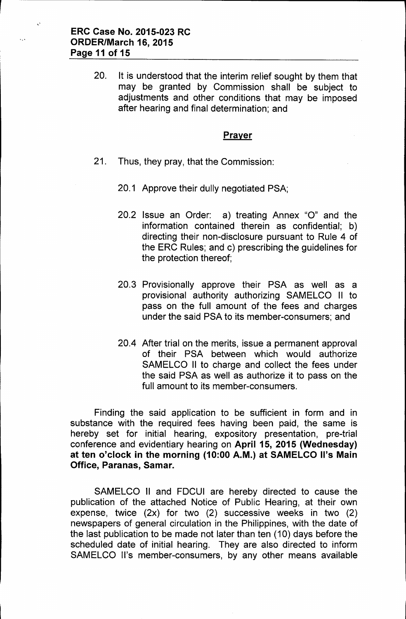20. It is understood that the interim relief sought by them that may be granted by Commission shall be subject to adjustments and other conditions that may be imposed after hearing and final determination; and

#### **Prayer**

- 21. Thus, they pray, that the Commission:
	- 20.1 Approve their dully negotiated PSA;
	- 20.2 Issue an Order: a) treating Annex "0" and the information contained therein as confidential; b) directing their non-disclosure pursuant to Rule 4 of the ERC Rules; and c) prescribing the guidelines for the protection thereof;
	- 20.3 Provisionally approve their PSA as well as a provisional authority authorizing SAMELCO II to pass on the full amount of the fees and charges under the said PSA to its member-consumers; and
	- 20.4 After trial on the merits, issue a permanent approval of their PSA between which would authorize SAMELCO II to charge and collect the fees under the said PSA as well as authorize it to pass on the full amount to its member-consumers.

Finding the said application to be sufficient in form and in substance with the required fees having been paid, the same is hereby set for initial hearing, expository presentation, pre-trial conference and evidentiary hearing on April 15, 2015 (Wednesday) at ten o'clock in the morning (10:00 A.M.) at SAMELCO II's Main Office, Paranas, Samar.

SAMELCO II and FDCUI are hereby directed to cause the publication of the attached Notice of Public Hearing, at their own expense, twice (2x) for two (2) successive weeks in two (2) newspapers of general circulation in the Philippines, with the date of the last publication to be made not later than ten (10) days before the scheduled date of initial hearing. They are also directed to inform SAMELCO II's member-consumers, by any other means available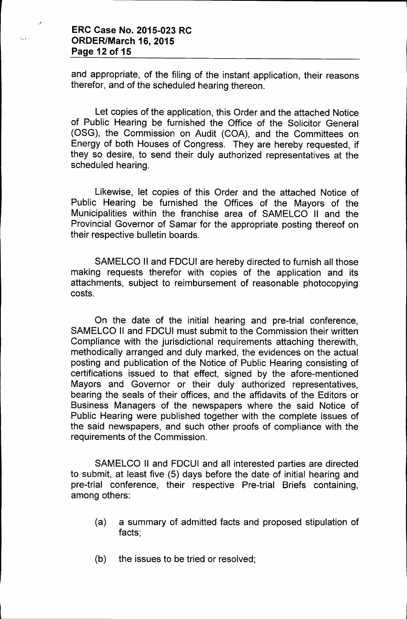#### **ERC Case No. 2015-023 RC ORDER/March 16, 2015 Page 12 of 15**

and appropriate, of the filing of the instant application, their reasons therefor, and of the scheduled hearing thereon.

Let copies of the application, this Order and the attached Notice of Public Hearing be furnished the Office of the Solicitor General (OSG), the Commission on Audit (COA), and the Committees on Energy of both Houses of Congress. They are hereby requested, if they so desire, to send their duly authorized representatives at the scheduled hearing.

Likewise, let copies of this Order and the attached Notice of Public Hearing be furnished the Offices of the Mayors of the Municipalities within the franchise area of SAMELCO II and the Provincial Governor of Samar for the appropriate posting thereof on their respective bulletin boards.

SAMELCO II and FDCUI are hereby directed to furnish all those making requests therefor with copies of the application and its attachments, subject to reimbursement of reasonable photocopying costs.

On the date of the initial hearing and pre-trial conference, SAMELCO II and FDCUI must submit to the Commission their written Compliance with the jurisdictional requirements attaching therewith, methodically arranged and duly marked, the evidences on the actual posting and publication of the Notice of Public Hearing consisting of certifications issued to that effect, signed by the afore-mentioned Mayors and Governor or their duly authorized representatives, bearing the seals of their offices, and the affidavits of the Editors or Business Managers of the newspapers where the said Notice of Public Hearing were published together with the complete issues of the said newspapers, and such other proofs of compliance with the requirements of the Commission.

SAMELCO II and FDCUI and all interested parties are directed to submit, at least five (5) days before the date of initial hearing and pre-trial conference, their respective Pre-trial Briefs containing, among others:

- (a) a summary of admitted facts and proposed stipulation of facts;
- (b) the issues to be tried or resolved;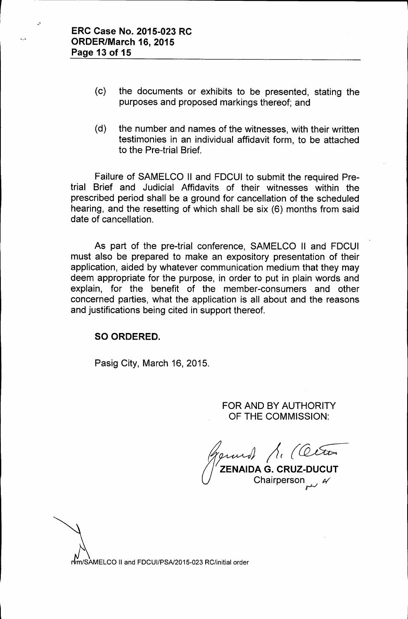- (c) the documents or exhibits to be presented, stating the purposes and proposed markings thereof; and
- (d) the number and names of the witnesses, with their written testimonies in an individual affidavit form, to be attached to the Pre-trial Brief.

Failure of SAMELCO II and FDCUI to submit the required Pretrial Brief and Judicial Affidavits of their witnesses within the prescribed period shall be a ground for cancellation of the scheduled hearing, and the resetting of which shall be six (6) months from said date of cancellation.

As part of the pre-trial conference, SAMELCO II and FDCUI must also be prepared to make an expository presentation of their application, aided by whatever communication medium that they may deem appropriate for the purpose, in order to put in plain words and explain, for the benefit of the member-consumers and other concerned parties, what the application is all about and the reasons and justifications being cited in support thereof.

#### SO ORDERED.

Pasig City, March 16, 2015.

FOR AND BY AUTHORITY OF THE COMMISSION:

Ar (Ceton) Chairperson ~ *N*

rvm/SAMELCO II and FDCUI/PSA/2015-023 RC/initial order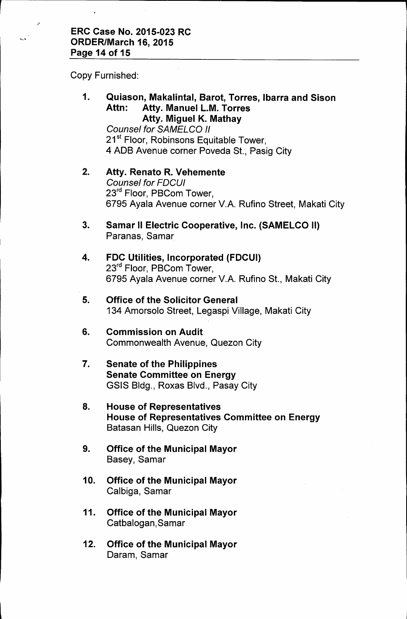Copy Furnished:

'.'

.,'

# 1. Quiason, Makalintal, Sarot, Torres, Ibarra and Sison Attn: Atty. Manuel L.M. Torres Atty. Miguel K. Mathay

*Counsel for SAMELCO /I* 21<sup>st</sup> Floor, Robinsons Equitable Tower, 4 ADB Avenue corner Poveda St., Pasig City

#### 2. Atty. Renato R. Vehemente *Counsel for FDCUI* 23<sup>rd</sup> Floor, PBCom Tower, 6795 Ayala Avenue corner V.A. Rufino Street, Makati City

- 3. Samar II Electric Cooperative, Inc. (SAMELCO II) Paranas, Samar
- 4. FDC Utilities, Incorporated (FDCUI) 23<sup>rd</sup> Floor, PBCom Tower, 6795 Ayala Avenue corner V.A. Rufino St., Makati City

### 5. Office of the Solicitor General 134 Amorsolo Street, Legaspi Village, Makati City

- 6. Commission on Audit Commonwealth Avenue, Quezon City
- 7. Senate of the Philippines Senate Committee on Energy GSIS Bldg., Roxas Blvd., Pasay City
- 8. House of Representatives House of Representatives Committee on Energy Batasan Hills, Quezon City
- 9. Office of the Municipal Mayor Basey, Samar
- 10. Office of the Municipal Mayor Calbiga, Samar
- 11. Office of the Municipal Mayor Catbalogan,Samar
- 12. Office of the Municipal Mayor Daram, Samar